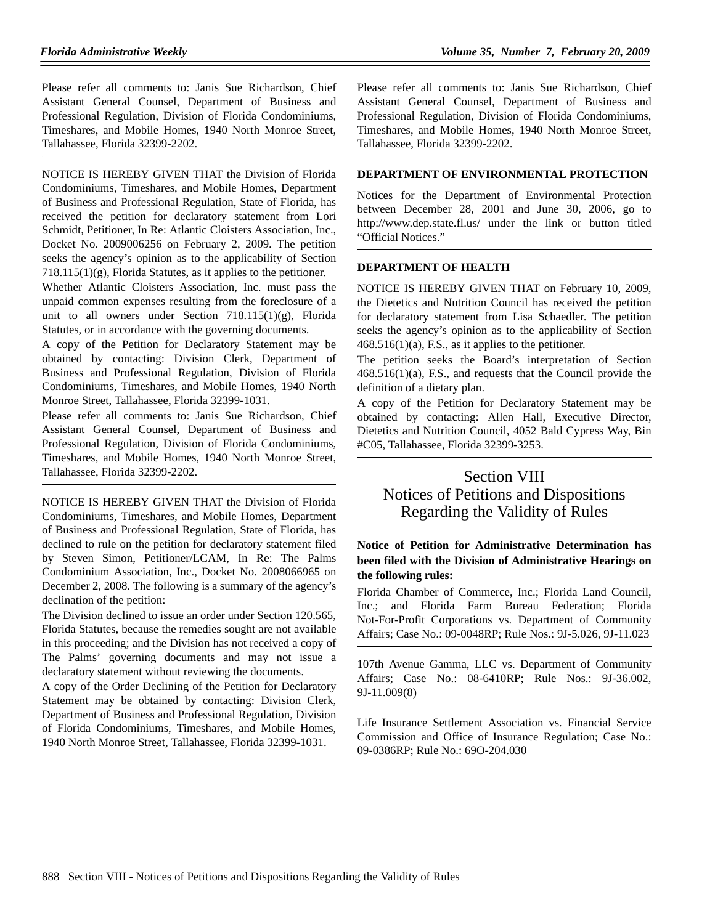Please refer all comments to: Janis Sue Richardson, Chief Assistant General Counsel, Department of Business and Professional Regulation, Division of Florida Condominiums, Timeshares, and Mobile Homes, 1940 North Monroe Street, Tallahassee, Florida 32399-2202.

NOTICE IS HEREBY GIVEN THAT the Division of Florida Condominiums, Timeshares, and Mobile Homes, Department of Business and Professional Regulation, State of Florida, has received the petition for declaratory statement from Lori Schmidt, Petitioner, In Re: Atlantic Cloisters Association, Inc., Docket No. 2009006256 on February 2, 2009. The petition seeks the agency's opinion as to the applicability of Section 718.115(1)(g), Florida Statutes, as it applies to the petitioner.

Whether Atlantic Cloisters Association, Inc. must pass the unpaid common expenses resulting from the foreclosure of a unit to all owners under Section  $718.115(1)(g)$ , Florida Statutes, or in accordance with the governing documents.

A copy of the Petition for Declaratory Statement may be obtained by contacting: Division Clerk, Department of Business and Professional Regulation, Division of Florida Condominiums, Timeshares, and Mobile Homes, 1940 North Monroe Street, Tallahassee, Florida 32399-1031.

Please refer all comments to: Janis Sue Richardson, Chief Assistant General Counsel, Department of Business and Professional Regulation, Division of Florida Condominiums, Timeshares, and Mobile Homes, 1940 North Monroe Street, Tallahassee, Florida 32399-2202.

NOTICE IS HEREBY GIVEN THAT the Division of Florida Condominiums, Timeshares, and Mobile Homes, Department of Business and Professional Regulation, State of Florida, has declined to rule on the petition for declaratory statement filed by Steven Simon, Petitioner/LCAM, In Re: The Palms Condominium Association, Inc., Docket No. 2008066965 on December 2, 2008. The following is a summary of the agency's declination of the petition:

The Division declined to issue an order under Section 120.565, Florida Statutes, because the remedies sought are not available in this proceeding; and the Division has not received a copy of The Palms' governing documents and may not issue a declaratory statement without reviewing the documents.

A copy of the Order Declining of the Petition for Declaratory Statement may be obtained by contacting: Division Clerk, Department of Business and Professional Regulation, Division of Florida Condominiums, Timeshares, and Mobile Homes, 1940 North Monroe Street, Tallahassee, Florida 32399-1031.

Please refer all comments to: Janis Sue Richardson, Chief Assistant General Counsel, Department of Business and Professional Regulation, Division of Florida Condominiums, Timeshares, and Mobile Homes, 1940 North Monroe Street, Tallahassee, Florida 32399-2202.

#### **DEPARTMENT OF ENVIRONMENTAL PROTECTION**

Notices for the Department of Environmental Protection between December 28, 2001 and June 30, 2006, go to http://www.dep.state.fl.us/ under the link or button titled "Official Notices."

## **DEPARTMENT OF HEALTH**

NOTICE IS HEREBY GIVEN THAT on February 10, 2009, the Dietetics and Nutrition Council has received the petition for declaratory statement from Lisa Schaedler. The petition seeks the agency's opinion as to the applicability of Section  $468.516(1)(a)$ , F.S., as it applies to the petitioner.

The petition seeks the Board's interpretation of Section 468.516(1)(a), F.S., and requests that the Council provide the definition of a dietary plan.

A copy of the Petition for Declaratory Statement may be obtained by contacting: Allen Hall, Executive Director, Dietetics and Nutrition Council, 4052 Bald Cypress Way, Bin #C05, Tallahassee, Florida 32399-3253.

# Section VIII Notices of Petitions and Dispositions Regarding the Validity of Rules

## **Notice of Petition for Administrative Determination has been filed with the Division of Administrative Hearings on the following rules:**

Florida Chamber of Commerce, Inc.; Florida Land Council, Inc.; and Florida Farm Bureau Federation; Florida Not-For-Profit Corporations vs. Department of Community Affairs; Case No.: 09-0048RP; Rule Nos.: 9J-5.026, 9J-11.023

107th Avenue Gamma, LLC vs. Department of Community Affairs; Case No.: 08-6410RP; Rule Nos.: 9J-36.002, 9J-11.009(8)

Life Insurance Settlement Association vs. Financial Service Commission and Office of Insurance Regulation; Case No.: 09-0386RP; Rule No.: 69O-204.030